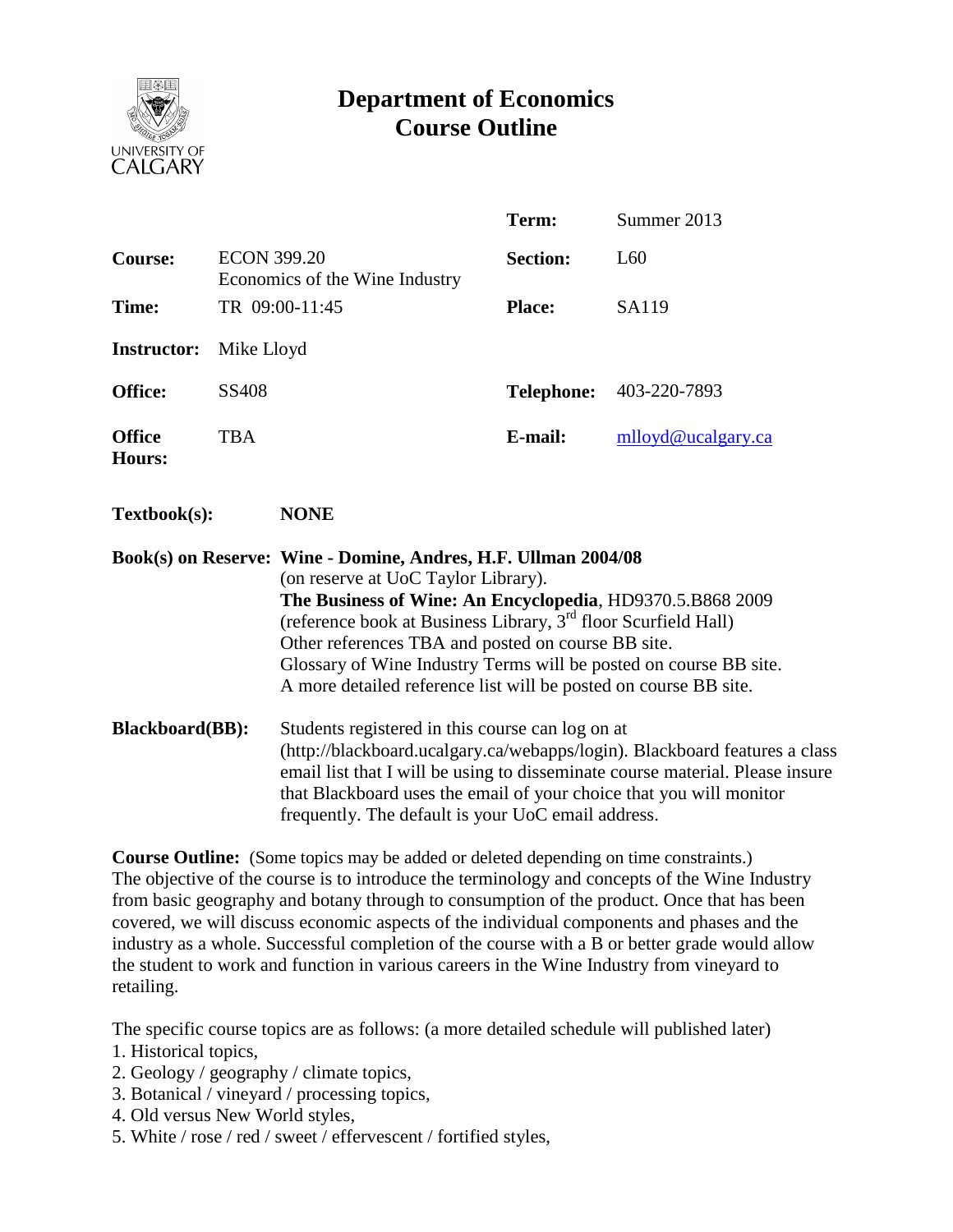

## **Department of Economics Course Outline**

|                                |                                                      |                                                                                                                                                                                                                                                                                                                                                                                                                                                 | Term:             | Summer 2013        |  |  |  |
|--------------------------------|------------------------------------------------------|-------------------------------------------------------------------------------------------------------------------------------------------------------------------------------------------------------------------------------------------------------------------------------------------------------------------------------------------------------------------------------------------------------------------------------------------------|-------------------|--------------------|--|--|--|
| <b>Course:</b>                 | <b>ECON 399.20</b><br>Economics of the Wine Industry |                                                                                                                                                                                                                                                                                                                                                                                                                                                 | <b>Section:</b>   | L60                |  |  |  |
| Time:                          |                                                      | TR 09:00-11:45                                                                                                                                                                                                                                                                                                                                                                                                                                  | <b>Place:</b>     | SA119              |  |  |  |
| <b>Instructor:</b>             | Mike Lloyd                                           |                                                                                                                                                                                                                                                                                                                                                                                                                                                 |                   |                    |  |  |  |
| Office:                        | SS408                                                |                                                                                                                                                                                                                                                                                                                                                                                                                                                 | <b>Telephone:</b> | 403-220-7893       |  |  |  |
| <b>Office</b><br><b>Hours:</b> | <b>TBA</b>                                           |                                                                                                                                                                                                                                                                                                                                                                                                                                                 | E-mail:           | mlloyd@ucalgary.ca |  |  |  |
| Textbook(s):                   |                                                      | <b>NONE</b>                                                                                                                                                                                                                                                                                                                                                                                                                                     |                   |                    |  |  |  |
|                                |                                                      | Book(s) on Reserve: Wine - Domine, Andres, H.F. Ullman 2004/08<br>(on reserve at UoC Taylor Library).<br>The Business of Wine: An Encyclopedia, HD9370.5.B868 2009<br>(reference book at Business Library, 3 <sup>rd</sup> floor Scurfield Hall)<br>Other references TBA and posted on course BB site.<br>Glossary of Wine Industry Terms will be posted on course BB site.<br>A more detailed reference list will be posted on course BB site. |                   |                    |  |  |  |
| <b>Blackboard(BB):</b>         |                                                      | Students registered in this course can log on at<br>(http://blackboard.ucalgary.ca/webapps/login). Blackboard features a class<br>email list that I will be using to disseminate course material. Please insure<br>that Blackboard uses the email of your choice that you will monitor<br>frequently. The default is your UoC email address.                                                                                                    |                   |                    |  |  |  |

**Course Outline:** (Some topics may be added or deleted depending on time constraints.) The objective of the course is to introduce the terminology and concepts of the Wine Industry from basic geography and botany through to consumption of the product. Once that has been covered, we will discuss economic aspects of the individual components and phases and the industry as a whole. Successful completion of the course with a B or better grade would allow the student to work and function in various careers in the Wine Industry from vineyard to retailing.

The specific course topics are as follows: (a more detailed schedule will published later)

- 1. Historical topics,
- 2. Geology / geography / climate topics,
- 3. Botanical / vineyard / processing topics,
- 4. Old versus New World styles,
- 5. White / rose / red / sweet / effervescent / fortified styles,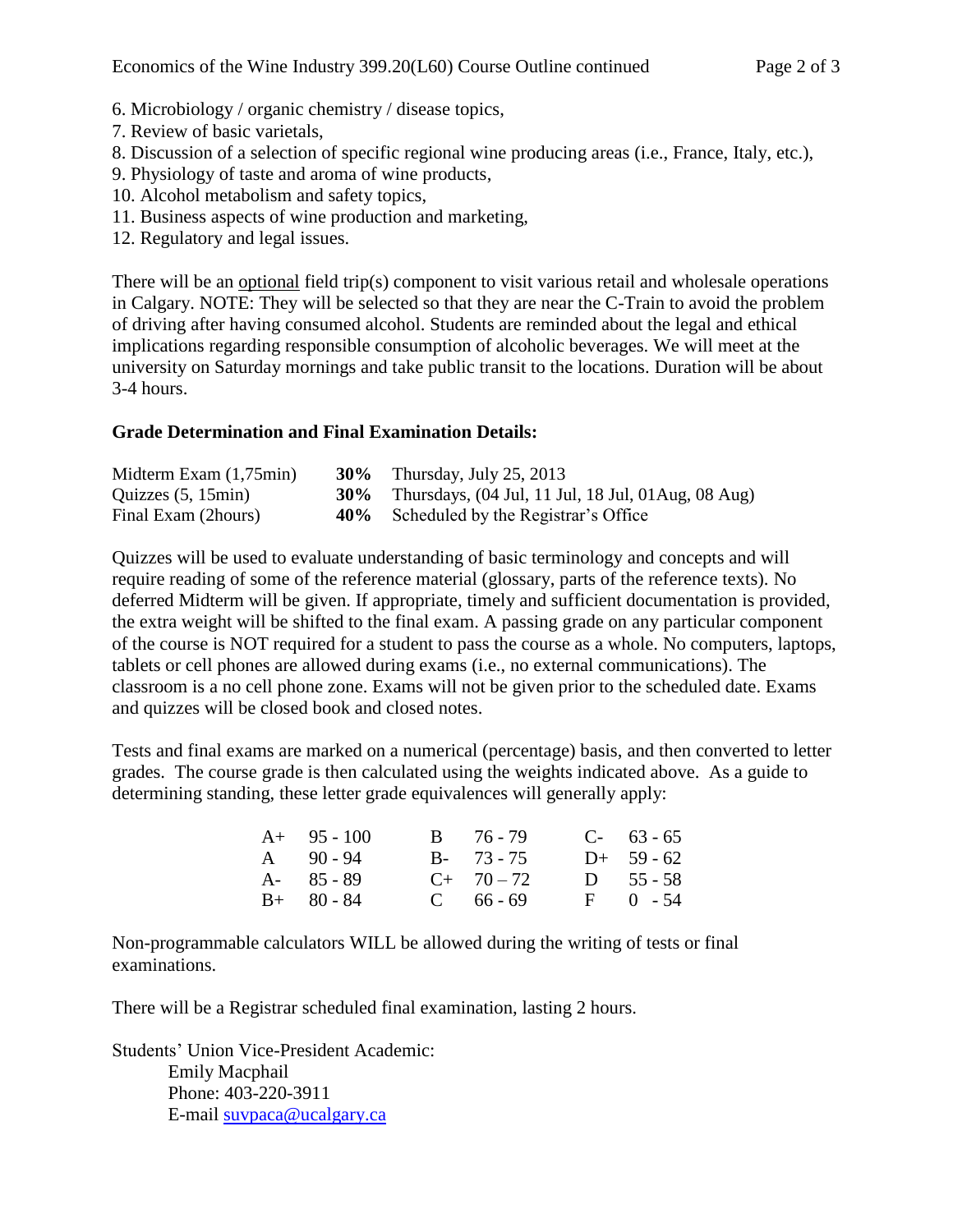- 6. Microbiology / organic chemistry / disease topics,
- 7. Review of basic varietals,
- 8. Discussion of a selection of specific regional wine producing areas (i.e., France, Italy, etc.),
- 9. Physiology of taste and aroma of wine products,
- 10. Alcohol metabolism and safety topics,
- 11. Business aspects of wine production and marketing,
- 12. Regulatory and legal issues.

There will be an optional field trip(s) component to visit various retail and wholesale operations in Calgary. NOTE: They will be selected so that they are near the C-Train to avoid the problem of driving after having consumed alcohol. Students are reminded about the legal and ethical implications regarding responsible consumption of alcoholic beverages. We will meet at the university on Saturday mornings and take public transit to the locations. Duration will be about 3-4 hours.

## **Grade Determination and Final Examination Details:**

| Midterm Exam $(1,75min)$ | <b>30%</b> Thursday, July 25, 2013                             |
|--------------------------|----------------------------------------------------------------|
| Quizzes $(5, 15min)$     | <b>30%</b> Thursdays, (04 Jul, 11 Jul, 18 Jul, 01 Aug, 08 Aug) |
| Final Exam (2hours)      | 40% Scheduled by the Registrar's Office                        |

Quizzes will be used to evaluate understanding of basic terminology and concepts and will require reading of some of the reference material (glossary, parts of the reference texts). No deferred Midterm will be given. If appropriate, timely and sufficient documentation is provided, the extra weight will be shifted to the final exam. A passing grade on any particular component of the course is NOT required for a student to pass the course as a whole. No computers, laptops, tablets or cell phones are allowed during exams (i.e., no external communications). The classroom is a no cell phone zone. Exams will not be given prior to the scheduled date. Exams and quizzes will be closed book and closed notes.

Tests and final exams are marked on a numerical (percentage) basis, and then converted to letter grades. The course grade is then calculated using the weights indicated above. As a guide to determining standing, these letter grade equivalences will generally apply:

| $A+ 95-100$   | $B = 76 - 79$ | $C-63-65$     |
|---------------|---------------|---------------|
| $A = 90 - 94$ | $B - 73 - 75$ | $D+ 59 - 62$  |
| A- 85 - 89    | $C+ 70-72$    | $D = 55 - 58$ |
| $B+ 80 - 84$  | $C = 66 - 69$ | $F = 0 - 54$  |

Non-programmable calculators WILL be allowed during the writing of tests or final examinations.

There will be a Registrar scheduled final examination, lasting 2 hours.

Students' Union Vice-President Academic: Emily Macphail Phone: 403-220-3911 E-mail [suvpaca@ucalgary.ca](mailto:subpaca@ucalgary.ca)